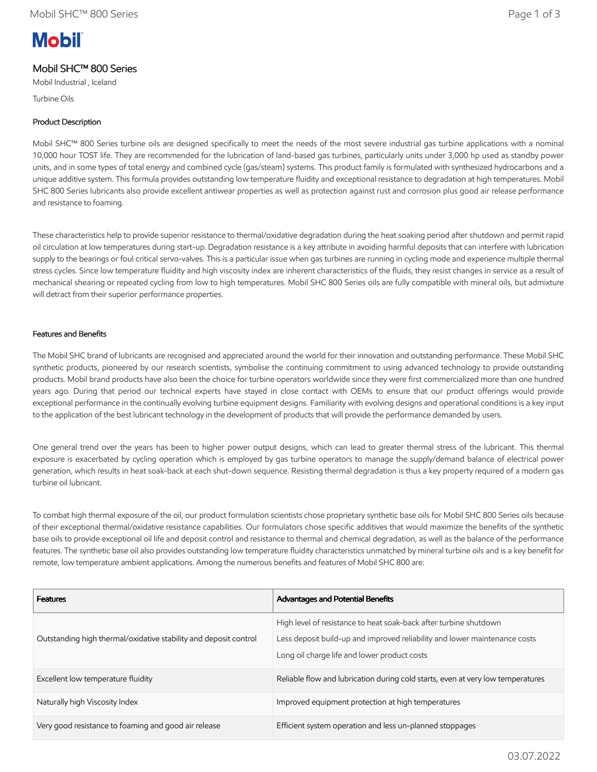# **Mobil**

# Mobil SHC™ 800 Series

Mobil Industrial , Iceland

Turbine Oils

# Product Description

Mobil SHC™ 800 Series turbine oils are designed specifically to meet the needs of the most severe industrial gas turbine applications with a nominal 10,000 hour TOST life. They are recommended for the lubrication of land-based gas turbines, particularly units under 3,000 hp used as standby power units, and in some types of total energy and combined cycle (gas/steam) systems. This product family is formulated with synthesized hydrocarbons and a unique additive system. This formula provides outstanding low temperature fluidity and exceptional resistance to degradation at high temperatures. Mobil SHC 800 Series lubricants also provide excellent antiwear properties as well as protection against rust and corrosion plus good air release performance and resistance to foaming.

These characteristics help to provide superior resistance to thermal/oxidative degradation during the heat soaking period after shutdown and permit rapid oil circulation at low temperatures during start-up. Degradation resistance is a key attribute in avoiding harmful deposits that can interfere with lubrication supply to the bearings or foul critical servo-valves. This is a particular issue when gas turbines are running in cycling mode and experience multiple thermal stress cycles. Since low temperature fluidity and high viscosity index are inherent characteristics of the fluids, they resist changes in service as a result of mechanical shearing or repeated cycling from low to high temperatures. Mobil SHC 800 Series oils are fully compatible with mineral oils, but admixture will detract from their superior performance properties.

## Features and Benefits

The Mobil SHC brand of lubricants are recognised and appreciated around the world for their innovation and outstanding performance. These Mobil SHC synthetic products, pioneered by our research scientists, symbolise the continuing commitment to using advanced technology to provide outstanding products. Mobil brand products have also been the choice for turbine operators worldwide since they were first commercialized more than one hundred years ago. During that period our technical experts have stayed in close contact with OEMs to ensure that our product offerings would provide exceptional performance in the continually evolving turbine equipment designs. Familiarity with evolving designs and operational conditions is a key input to the application of the best lubricant technology in the development of products that will provide the performance demanded by users.

One general trend over the years has been to higher power output designs, which can lead to greater thermal stress of the lubricant. This thermal exposure is exacerbated by cycling operation which is employed by gas turbine operators to manage the supply/demand balance of electrical power generation, which results in heat soak-back at each shut-down sequence. Resisting thermal degradation is thus a key property required of a modern gas turbine oil lubricant.

To combat high thermal exposure of the oil, our product formulation scientists chose proprietary synthetic base oils for Mobil SHC 800 Series oils because of their exceptional thermal/oxidative resistance capabilities. Our formulators chose specific additives that would maximize the benefits of the synthetic base oils to provide exceptional oil life and deposit control and resistance to thermal and chemical degradation, as well as the balance of the performance features. The synthetic base oil also provides outstanding low temperature fluidity characteristics unmatched by mineral turbine oils and is a key benefit for remote, low temperature ambient applications. Among the numerous benefits and features of Mobil SHC 800 are:

| <b>Features</b>                                                  | Advantages and Potential Benefits                                                                                                                                                               |
|------------------------------------------------------------------|-------------------------------------------------------------------------------------------------------------------------------------------------------------------------------------------------|
| Outstanding high thermal/oxidative stability and deposit control | High level of resistance to heat soak-back after turbine shutdown<br>Less deposit build-up and improved reliability and lower maintenance costs<br>Long oil charge life and lower product costs |
| Excellent low temperature fluidity                               | Reliable flow and lubrication during cold starts, even at very low temperatures                                                                                                                 |
| Naturally high Viscosity Index                                   | Improved equipment protection at high temperatures                                                                                                                                              |
| Very good resistance to foaming and good air release             | Efficient system operation and less un-planned stoppages                                                                                                                                        |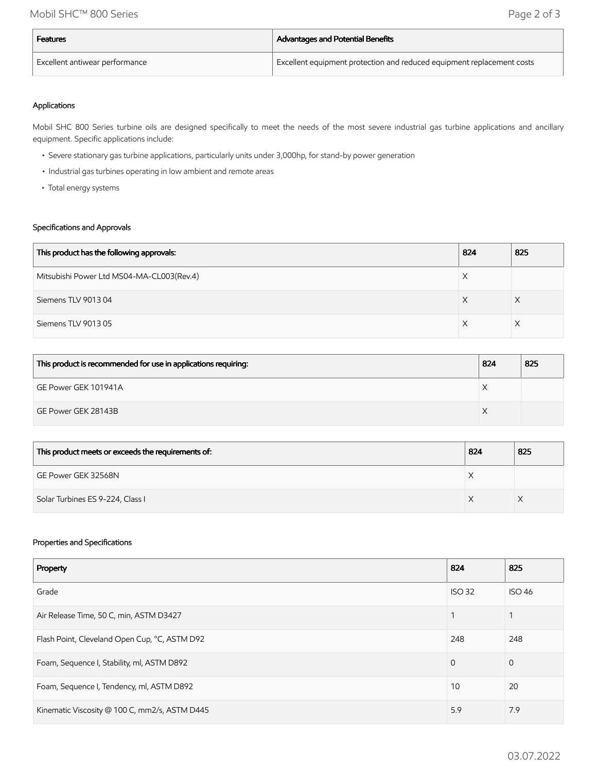| Features                                    | Advantages and Potential Benefits                                      |
|---------------------------------------------|------------------------------------------------------------------------|
| <sup>I</sup> Excellent antiwear performance | Excellent equipment protection and reduced equipment replacement costs |

#### Applications

Mobil SHC 800 Series turbine oils are designed specifically to meet the needs of the most severe industrial gas turbine applications and ancillary equipment. Specific applications include:

- Severe stationary gas turbine applications, particularly units under 3,000hp, for stand-by power generation
- Industrial gas turbines operating in low ambient and remote areas
- Total energy systems

## Specifications and Approvals

| This product has the following approvals: | 824 | 825 |
|-------------------------------------------|-----|-----|
| Mitsubishi Power Ltd MS04-MA-CL003(Rev.4) |     |     |
| Siemens TLV 901304                        |     |     |
| Siemens TLV 901305                        |     |     |

| This product is recommended for use in applications requiring: | 824 | 825 |
|----------------------------------------------------------------|-----|-----|
| GE Power GEK 101941A                                           |     |     |
| GE Power GEK 28143B                                            |     |     |

| This product meets or exceeds the requirements of: | 824 | 825 |
|----------------------------------------------------|-----|-----|
| GE Power GEK 32568N                                |     |     |
| Solar Turbines ES 9-224, Class I                   |     |     |

#### Properties and Specifications

| Property                                      | 824           | 825            |
|-----------------------------------------------|---------------|----------------|
| Grade                                         | <b>ISO 32</b> | <b>ISO 46</b>  |
| Air Release Time, 50 C, min, ASTM D3427       |               |                |
| Flash Point, Cleveland Open Cup, °C, ASTM D92 | 248           | 248            |
| Foam, Sequence I, Stability, ml, ASTM D892    | $\Omega$      | $\overline{0}$ |
| Foam, Sequence I, Tendency, ml, ASTM D892     | 10            | 20             |
| Kinematic Viscosity @ 100 C, mm2/s, ASTM D445 | 5.9           | 7.9            |